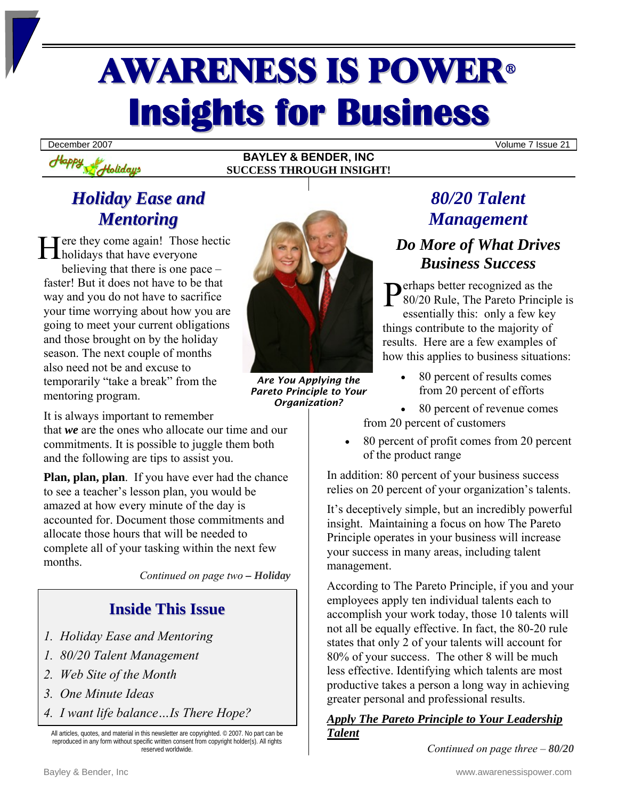# AWARENESS IS POWER<sup>ü</sup> **Insights for Business**

**BAYLEY & BENDER, INC SUCCESS THROUGH INSIGHT!**

December 2007 Volume 7 Issue 21

## *Holiday Ease and Mentoring*

Holidays

 $H$ appy

Here they come again! Those hectic<br>holidays that have everyone holidays that have everyone believing that there is one pace – faster! But it does not have to be that way and you do not have to sacrifice your time worrying about how you are going to meet your current obligations and those brought on by the holiday season. The next couple of months also need not be and excuse to temporarily "take a break" from the mentoring program.



*Are You Applying the Pareto Principle to Your Organization?*

It is always important to remember

that *we* are the ones who allocate our time and our commitments. It is possible to juggle them both and the following are tips to assist you.

**Plan, plan, plan**. If you have ever had the chance to see a teacher's lesson plan, you would be amazed at how every minute of the day is accounted for. Document those commitments and allocate those hours that will be needed to complete all of your tasking within the next few months.

*Continued on page two – Holiday* 

## **Inside This Issue**

- *1. Holiday Ease and Mentoring*
- *1. 80/20 Talent Management*
- *2. Web Site of the Month*
- *3. One Minute Ideas*
- *4. I want life balance…Is There Hope?*

All articles, quotes, and material in this newsletter are copyrighted. © 2007. No part can be reproduced in any form without specific written consent from copyright holder(s). All rights reserved worldwide.

# *80/20 Talent Management*

## *Do More of What Drives Business Success*

 $\sum_{0.20}^{\infty}$  erhaps better recognized as the 80/20 Rule, The Pareto Principl 80/20 Rule, The Pareto Principle is essentially this: only a few key things contribute to the majority of results. Here are a few examples of how this applies to business situations:

• 80 percent of results comes from 20 percent of efforts

• 80 percent of revenue comes from 20 percent of customers

• 80 percent of profit comes from 20 percent of the product range

In addition: 80 percent of your business success relies on 20 percent of your organization's talents.

It's deceptively simple, but an incredibly powerful insight. Maintaining a focus on how The Pareto Principle operates in your business will increase your success in many areas, including talent management.

According to The Pareto Principle, if you and your employees apply ten individual talents each to accomplish your work today, those 10 talents will not all be equally effective. In fact, the 80-20 rule states that only 2 of your talents will account for 80% of your success. The other 8 will be much less effective. Identifying which talents are most productive takes a person a long way in achieving greater personal and professional results.

#### *Apply The Pareto Principle to Your Leadership Talent*

*Continued on page three – 80/20*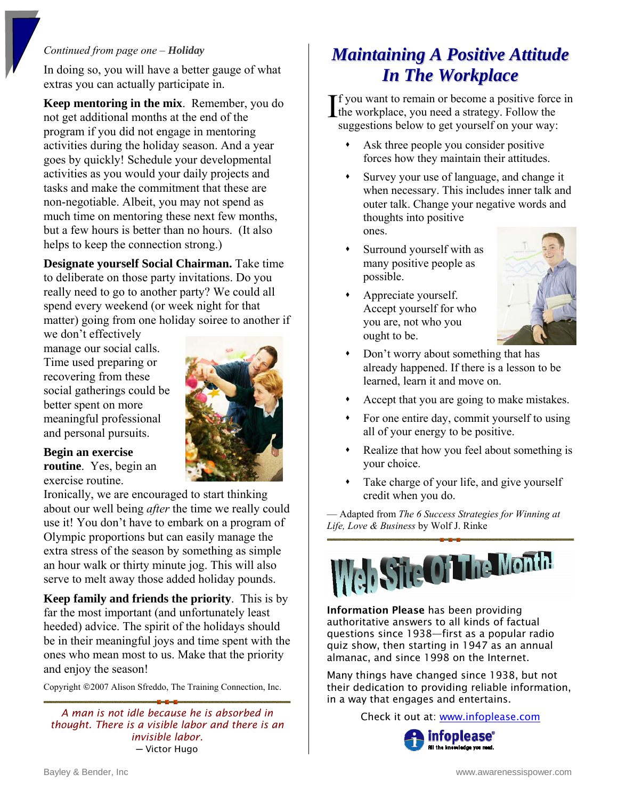#### *Continued from page one – Holiday*

In doing so, you will have a better gauge of what extras you can actually participate in.

**Keep mentoring in the mix**. Remember, you do not get additional months at the end of the program if you did not engage in mentoring activities during the holiday season. And a year goes by quickly! Schedule your developmental activities as you would your daily projects and tasks and make the commitment that these are non-negotiable. Albeit, you may not spend as much time on mentoring these next few months, but a few hours is better than no hours. (It also helps to keep the connection strong.)

**Designate yourself Social Chairman.** Take time to deliberate on those party invitations. Do you really need to go to another party? We could all spend every weekend (or week night for that matter) going from one holiday soiree to another if

we don't effectively manage our social calls. Time used preparing or recovering from these social gatherings could be better spent on more meaningful professional and personal pursuits.



#### **Begin an exercise**

**routine**. Yes, begin an exercise routine.

Ironically, we are encouraged to start thinking about our well being *after* the time we really could use it! You don't have to embark on a program of Olympic proportions but can easily manage the extra stress of the season by something as simple an hour walk or thirty minute jog. This will also serve to melt away those added holiday pounds.

**Keep family and friends the priority**. This is by far the most important (and unfortunately least heeded) advice. The spirit of the holidays should be in their meaningful joys and time spent with the ones who mean most to us. Make that the priority and enjoy the season!

Copyright ©2007 Alison Sfreddo, The Training Connection, Inc.

*A man is not idle because he is absorbed in thought. There is a visible labor and there is an invisible labor.*  ─ Victor Hugo

# *Maintaining A Positive Attitude In The Workplace*

f you want to remain or become a positive force in  $\prod$  f you want to remain or become a positive force<br>the workplace, you need a strategy. Follow the suggestions below to get yourself on your way:

- Ask three people you consider positive forces how they maintain their attitudes.
- Survey your use of language, and change it when necessary. This includes inner talk and outer talk. Change your negative words and thoughts into positive ones.
- Surround yourself with as many positive people as possible.
- Appreciate yourself. Accept yourself for who you are, not who you ought to be.



- Don't worry about something that has already happened. If there is a lesson to be learned, learn it and move on.
- Accept that you are going to make mistakes.
- For one entire day, commit yourself to using all of your energy to be positive.
- Realize that how you feel about something is your choice.
- Take charge of your life, and give yourself credit when you do.

— Adapted from *The 6 Success Strategies for Winning at Life, Love & Business* by Wolf J. Rinke



Information Please has been providing authoritative answers to all kinds of factual questions since 1938—first as a popular radio quiz show, then starting in 1947 as an annual almanac, and since 1998 on the Internet.

Many things have changed since 1938, but not their dedication to providing reliable information, in a way that engages and entertains.

Check it out at: [www.infoplease.com](http://www.infoplease.com/)

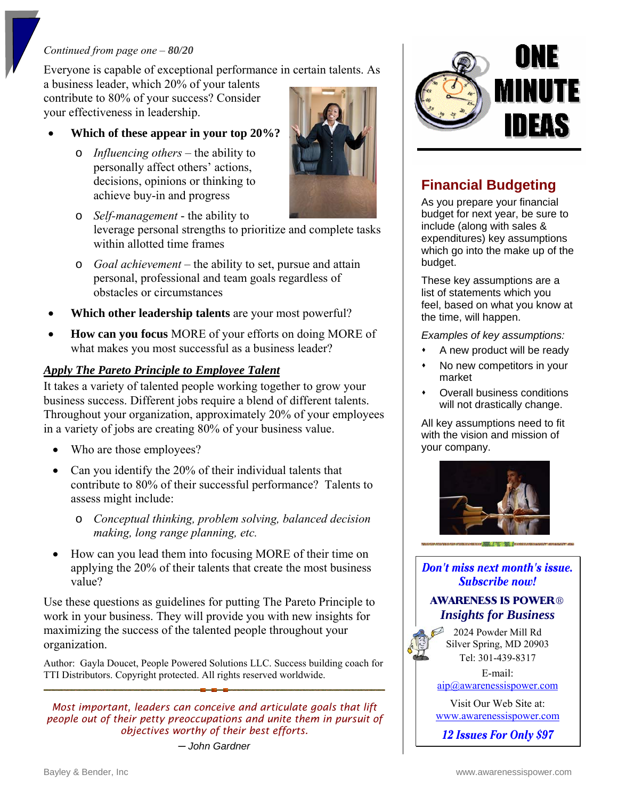#### *Continued from page one – 80/20*

Everyone is capable of exceptional performance in certain talents. As

a business leader, which 20% of your talents contribute to 80% of your success? Consider your effectiveness in leadership.

#### • **Which of these appear in your top 20%?**

o *Influencing others* – the ability to personally affect others' actions, decisions, opinions or thinking to achieve buy-in and progress



- o *Self-management* the ability to leverage personal strengths to prioritize and complete tasks within allotted time frames
- o *Goal achievement*  the ability to set, pursue and attain personal, professional and team goals regardless of obstacles or circumstances
- **Which other leadership talents** are your most powerful?
- **How can you focus** MORE of your efforts on doing MORE of what makes you most successful as a business leader?

#### *Apply The Pareto Principle to Employee Talent*

It takes a variety of talented people working together to grow your business success. Different jobs require a blend of different talents. Throughout your organization, approximately 20% of your employees in a variety of jobs are creating 80% of your business value.

- Who are those employees?
- Can you identify the 20% of their individual talents that contribute to 80% of their successful performance? Talents to assess might include:
	- o *Conceptual thinking, problem solving, balanced decision making, long range planning, etc.*
- How can you lead them into focusing MORE of their time on applying the 20% of their talents that create the most business value?

Use these questions as guidelines for putting The Pareto Principle to work in your business. They will provide you with new insights for maximizing the success of the talented people throughout your organization.

Author: Gayla Doucet, People Powered Solutions LLC. Success building coach for TTI Distributors. Copyright protected. All rights reserved worldwide.

*Most important, leaders can conceive and articulate goals that lift people out of their petty preoccupations and unite them in pursuit of objectives worthy of their best efforts.* 

*─ John Gardner* 



## **Financial Budgeting**

As you prepare your financial budget for next year, be sure to include (along with sales & expenditures) key assumptions which go into the make up of the budget.

These key assumptions are a list of statements which you feel, based on what you know at the time, will happen.

*Examples of key assumptions:* 

- A new product will be ready
- No new competitors in your market
- Overall business conditions will not drastically change.

All key assumptions need to fit with the vision and mission of your company.



Don't miss next month's issue. **Subscribe now!** 

#### **AWARENESS IS POWER®** *Insights for Business*

2024 Powder Mill Rd Silver Spring, MD 20903 Tel: 301-439-8317

E-mail: [aip@awarenessispower.com](mailto:aip@awarenessispower.com)

Visit Our Web Site at: [www.awarenessispower.com](http://www.awarenessispower.com/)

12 Issues For Only \$97